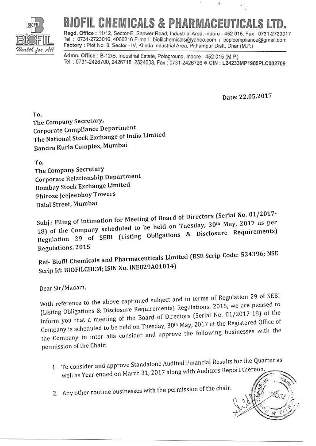

## **CHEMICALS & PHARMACEUT**

Regd. Office: 11/12, Sector-E, Sanwer Road, Industrial Area, Indore - 452 015, Fax: 0731-2723017 Tel.: 0731-2723016, 4066216 E-mail: biofilchemicals@yahoo.com / bcplcompliance@gmail.com Factory : Plot No. 8, Sector - IV, Kheda Industrial Area, Pithampur Distt. Dhar (M.P.)

Admn. Office: B-12/B, Industrial Estate, Pologround, Indore - 452 015 (M.P.) Tel.: 0731-2426700, 2426718, 2524003, Fax: 0731-2426726 · CIN: L24233MP1985PLC002709

Date: 22.05.2017

 $\dot{\theta}$  .

To. The Company Secretary, Corporate Compliance Department The National Stock Exchange of India Limited Bandra Kurla Complex, Mumbai

To, The Company Secretary Corporate Relationship Department **Bombay Stock Exchange Limited** Phiroze Jeejeebhoy Towers Dalal Street, Mumbai

Subj.: Filing of intimation for Meeting of Board of Directors (Serial No. 01/2017-18) of the Company scheduled to be held on Tuesday, 30th May, 2017 as per Regulation 29 of SEBI (Listing Obligations & Disclosure Requirements) Regulations, 2015

Ref- Biofil Chemicals and Pharmaceuticals Limited (BSE Scrip Code: 524396; NSE Scrip Id: BIOFILCHEM; ISIN No. INE829A01014)

Dear Sir/Madam,

With reference to the above captioned subject and in terms of Regulation 29 of SEBI (Listing Obligations & Disclosure Requirements) Regulations, 2015, we are pleased to inform you that a meeting of the Board of Directors (Serial No. 01/2017-18) of the Company is scheduled to be held on Tuesday, 30th May, 2017 at the Registered Office of the Company to inter alia consider and approve the following businesses with the permission of the Chair:

- 1. To consider and approve Standalone Audited Financial Results for the Quarter as well as Year ended on March 31, 2017 along with Auditors Report thereon
- 2. Any other routine businesses with the permission of the chair.